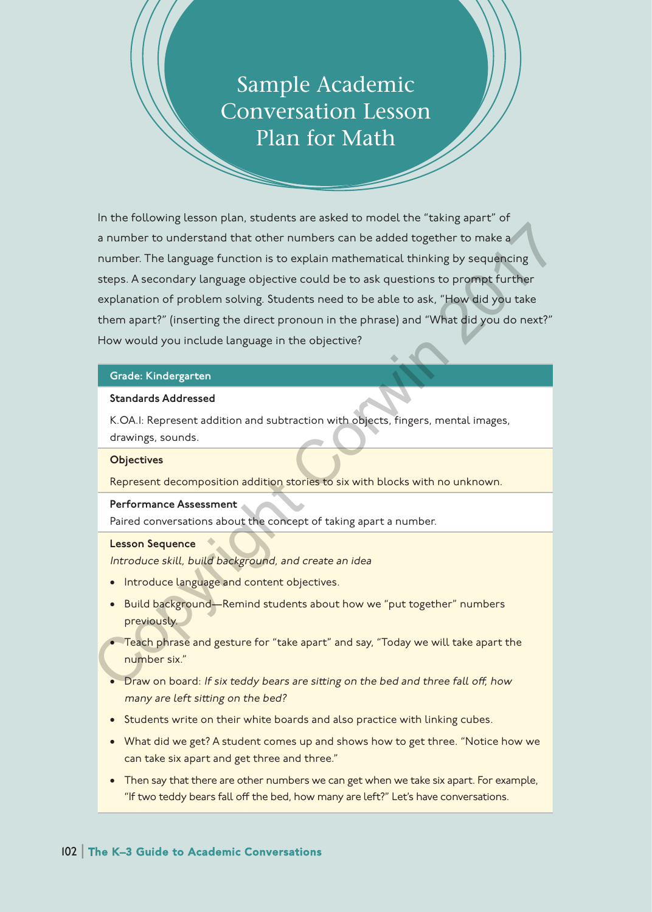# Sample Academic Conversation Lesson Plan for Math

In the following lesson plan, students are asked to model the "taking apart" of a number to understand that other numbers can be added together to make a number. The language function is to explain mathematical thinking by sequencing steps. A secondary language objective could be to ask questions to prompt further explanation of problem solving. Students need to be able to ask, "How did you take them apart?" (inserting the direct pronoun in the phrase) and "What did you do next?" How would you include language in the objective? a number to understand that other numbers can be added together to make a<br>
number. The language function is to explain mathematical thinking by sequencing<br>
steps. A secondary language objective could be to ask questions to

## Grade: Kindergarten

### Standards Addressed

K.OA.1: Represent addition and subtraction with objects, fingers, mental images, drawings, sounds.

#### **Objectives**

Represent decomposition addition stories to six with blocks with no unknown.

#### Performance Assessment

Paired conversations about the concept of taking apart a number.

#### Lesson Sequence

Introduce skill, build background, and create an idea

- Introduce language and content objectives.
- Build background—Remind students about how we "put together" numbers previously.
- Teach phrase and gesture for "take apart" and say, "Today we will take apart the number six."
- Draw on board: If six teddy bears are sitting on the bed and three fall off, how many are left sitting on the bed?
- Students write on their white boards and also practice with linking cubes.
- What did we get? A student comes up and shows how to get three. "Notice how we can take six apart and get three and three."
- Then say that there are other numbers we can get when we take six apart. For example, "If two teddy bears fall off the bed, how many are left?" Let's have conversations.